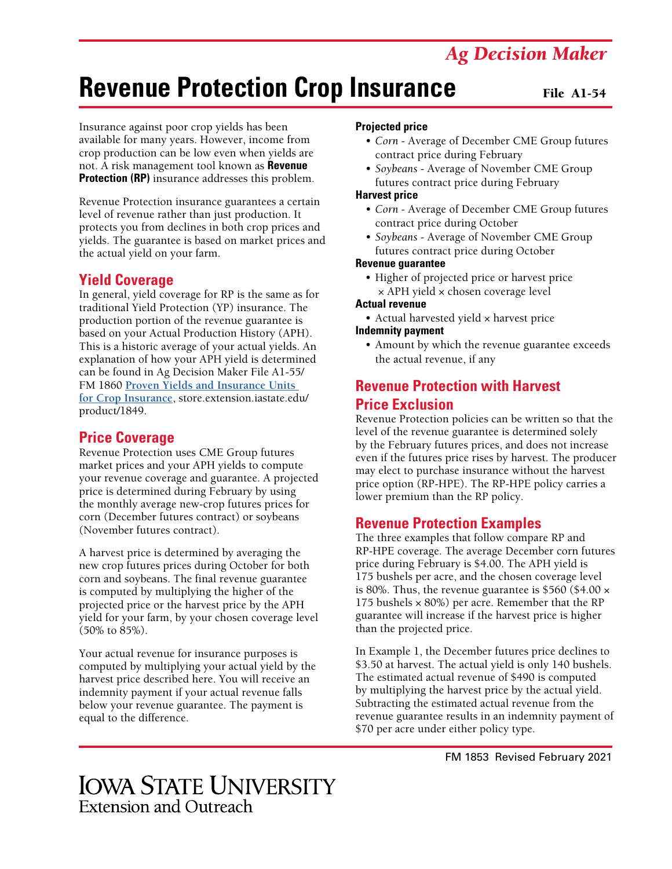## *Ag Decision Maker*

# **Revenue Protection Crop Insurance**

#### File A1-54

Insurance against poor crop yields has been available for many years. However, income from crop production can be low even when yields are not. A risk management tool known as **Revenue Protection (RP)** insurance addresses this problem.

Revenue Protection insurance guarantees a certain level of revenue rather than just production. It protects you from declines in both crop prices and yields. The guarantee is based on market prices and the actual yield on your farm.

#### **Yield Coverage**

In general, yield coverage for RP is the same as for traditional Yield Protection (YP) insurance. The production portion of the revenue guarantee is based on your Actual Production History (APH). This is a historic average of your actual yields. An explanation of how your APH yield is determined can be found in Ag Decision Maker File A1-55/ FM 1860 **[Proven Yields and Insurance Units](https://store.extension.iastate.edu/product/1849)  [for Crop Insurance](https://store.extension.iastate.edu/product/1849)**, store.extension.iastate.edu/ product/1849.

#### **Price Coverage**

Revenue Protection uses CME Group futures market prices and your APH yields to compute your revenue coverage and guarantee. A projected price is determined during February by using the monthly average new-crop futures prices for corn (December futures contract) or soybeans (November futures contract).

A harvest price is determined by averaging the new crop futures prices during October for both corn and soybeans. The final revenue guarantee is computed by multiplying the higher of the projected price or the harvest price by the APH yield for your farm, by your chosen coverage level (50% to 85%).

Your actual revenue for insurance purposes is computed by multiplying your actual yield by the harvest price described here. You will receive an indemnity payment if your actual revenue falls below your revenue guarantee. The payment is equal to the difference.

#### **Projected price**

- *• Corn* Average of December CME Group futures contract price during February
- *• Soybeans* Average of November CME Group futures contract price during February

#### **Harvest price**

- *• Corn* Average of December CME Group futures contract price during October
- *• Soybeans* Average of November CME Group futures contract price during October

#### **Revenue guarantee**

• Higher of projected price or harvest price × APH yield × chosen coverage level

#### **Actual revenue**

- Actual harvested yield x harvest price **Indemnity payment**
	- Amount by which the revenue guarantee exceeds the actual revenue, if any

### **Revenue Protection with Harvest Price Exclusion**

Revenue Protection policies can be written so that the level of the revenue guarantee is determined solely by the February futures prices, and does not increase even if the futures price rises by harvest. The producer may elect to purchase insurance without the harvest price option (RP-HPE). The RP-HPE policy carries a lower premium than the RP policy.

#### **Revenue Protection Examples**

The three examples that follow compare RP and RP-HPE coverage. The average December corn futures price during February is \$4.00. The APH yield is 175 bushels per acre, and the chosen coverage level is 80%. Thus, the revenue guarantee is \$560 (\$4.00 × 175 bushels  $\times$  80%) per acre. Remember that the RP guarantee will increase if the harvest price is higher than the projected price.

In Example 1, the December futures price declines to \$3.50 at harvest. The actual yield is only 140 bushels. The estimated actual revenue of \$490 is computed by multiplying the harvest price by the actual yield. Subtracting the estimated actual revenue from the revenue guarantee results in an indemnity payment of \$70 per acre under either policy type.

FM 1853 Revised February 2021

## **IOWA STATE UNIVERSITY** Extension and Outreach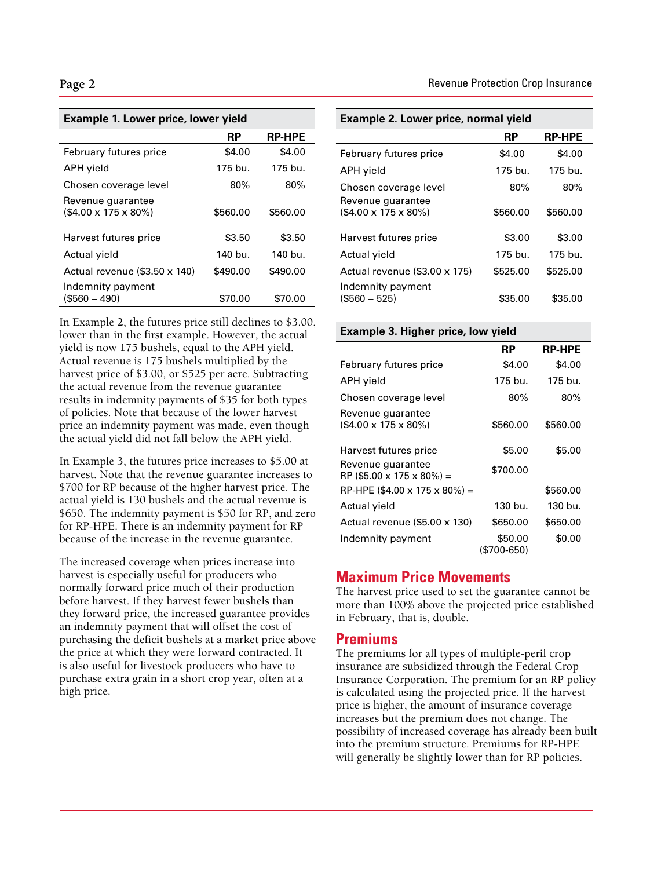| <b>Example 1. Lower price, lower yield</b>            |          |               |  |
|-------------------------------------------------------|----------|---------------|--|
|                                                       | RP       | <b>RP-HPE</b> |  |
| February futures price                                | \$4.00   | \$4.00        |  |
| <b>APH</b> yield                                      | 175 bu.  | 175 bu.       |  |
| Chosen coverage level                                 | 80%      | 80%           |  |
| Revenue guarantee<br>$($4.00 \times 175 \times 80\%)$ | \$560.00 | \$560.00      |  |
| Harvest futures price                                 | \$3.50   | \$3.50        |  |
| Actual yield                                          | 140 bu.  | 140 bu.       |  |
| Actual revenue $(\$3.50 \times 140)$                  | \$490.00 | \$490.00      |  |
| Indemnity payment<br>(\$560 – 490)                    | \$70.00  | \$70.00       |  |

In Example 2, the futures price still declines to \$3.00, lower than in the first example. However, the actual yield is now 175 bushels, equal to the APH yield. Actual revenue is 175 bushels multiplied by the harvest price of \$3.00, or \$525 per acre. Subtracting the actual revenue from the revenue guarantee results in indemnity payments of \$35 for both types of policies. Note that because of the lower harvest price an indemnity payment was made, even though the actual yield did not fall below the APH yield.

In Example 3, the futures price increases to \$5.00 at harvest. Note that the revenue guarantee increases to \$700 for RP because of the higher harvest price. The actual yield is 130 bushels and the actual revenue is \$650. The indemnity payment is \$50 for RP, and zero for RP-HPE. There is an indemnity payment for RP because of the increase in the revenue guarantee.

The increased coverage when prices increase into harvest is especially useful for producers who normally forward price much of their production before harvest. If they harvest fewer bushels than they forward price, the increased guarantee provides an indemnity payment that will offset the cost of purchasing the deficit bushels at a market price above the price at which they were forward contracted. It is also useful for livestock producers who have to purchase extra grain in a short crop year, often at a high price.

| Example 2. Lower price, normal yield       |           |               |  |
|--------------------------------------------|-----------|---------------|--|
|                                            | <b>RP</b> | <b>RP-HPE</b> |  |
| February futures price                     | \$4.00    | \$4.00        |  |
| APH yield                                  | 175 bu.   | 175 bu.       |  |
| Chosen coverage level<br>Revenue guarantee | 80%       | 80%           |  |
| $($4.00 \times 175 \times 80\%)$           | \$560.00  | \$560.00      |  |
| Harvest futures price                      | \$3.00    | \$3.00        |  |
| Actual yield                               | 175 bu.   | 175 bu.       |  |
| Actual revenue (\$3.00 x 175)              | \$525.00  | \$525.00      |  |
| Indemnity payment<br>$($560 - 525)$        | \$35.00   | \$35.00       |  |

#### **Example 3. Higher price, low yield**

|                                                       | RP                     | <b>RP-HPE</b> |
|-------------------------------------------------------|------------------------|---------------|
| February futures price                                | \$4.00                 | \$4.00        |
| APH yield                                             | 175 bu.                | 175 bu.       |
| Chosen coverage level                                 | 80%                    | $80\%$        |
| Revenue guarantee<br>$($4.00 \times 175 \times 80\%)$ | \$560.00               | \$560.00      |
| Harvest futures price                                 | \$5.00                 | \$5.00        |
| Revenue guarantee<br>$RP$ (\$5.00 x 175 x 80%) =      | \$700.00               |               |
| RP-HPE (\$4.00 x 175 x 80%) =                         |                        | \$560.00      |
| Actual yield                                          | 130 bu.                | 130 bu.       |
| Actual revenue (\$5.00 x 130)                         | \$650.00               | \$650.00      |
| Indemnity payment                                     | \$50.00<br>(\$700-650) | \$0.00        |

#### **Maximum Price Movements**

The harvest price used to set the guarantee cannot be more than 100% above the projected price established in February, that is, double.

#### **Premiums**

The premiums for all types of multiple-peril crop insurance are subsidized through the Federal Crop Insurance Corporation. The premium for an RP policy is calculated using the projected price. If the harvest price is higher, the amount of insurance coverage increases but the premium does not change. The possibility of increased coverage has already been built into the premium structure. Premiums for RP-HPE will generally be slightly lower than for RP policies.